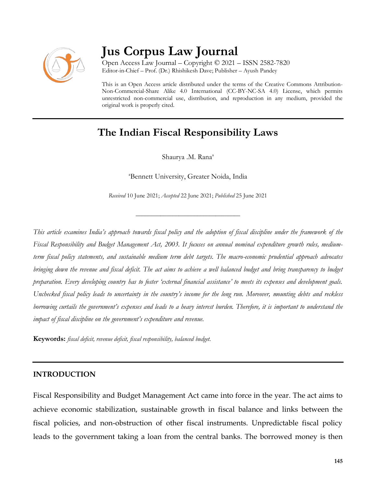

# **Jus Corpus Law Journal**

Open Access Law Journal – Copyright © 2021 – ISSN 2582-7820 Editor-in-Chief – Prof. (Dr.) Rhishikesh Dave; Publisher – Ayush Pandey

This is an Open Access article distributed under the terms of the Creative Commons Attribution-Non-Commercial-Share Alike 4.0 International (CC-BY-NC-SA 4.0) License, which permits unrestricted non-commercial use, distribution, and reproduction in any medium, provided the original work is properly cited.

## **The Indian Fiscal Responsibility Laws**

Shaurya .M. Rana<sup>a</sup>

<sup>a</sup>Bennett University, Greater Noida, India

*Received* 10 June 2021; *Accepted* 22 June 2021; *Published* 25 June 2021

\_\_\_\_\_\_\_\_\_\_\_\_\_\_\_\_\_\_\_\_\_\_\_\_\_\_\_\_\_\_\_\_\_\_

*This article examines India's approach towards fiscal policy and the adoption of fiscal discipline under the framework of the Fiscal Responsibility and Budget Management Act, 2003. It focuses on annual nominal expenditure growth rules, mediumterm fiscal policy statements, and sustainable medium term debt targets. The macro-economic prudential approach advocates bringing down the revenue and fiscal deficit. The act aims to achieve a well balanced budget and bring transparency to budget preparation. Every developing country has to foster 'external financial assistance' to meets its expenses and development goals. Unchecked fiscal policy leads to uncertainty in the country's income for the long run. Moreover, mounting debts and reckless borrowing curtails the government's expenses and leads to a heavy interest burden. Therefore, it is important to understand the impact of fiscal discipline on the government's expenditure and revenue.*

**Keywords:** *fiscal deficit, revenue deficit, fiscal responsibility, balanced budget.*

## **INTRODUCTION**

Fiscal Responsibility and Budget Management Act came into force in the year. The act aims to achieve economic stabilization, sustainable growth in fiscal balance and links between the fiscal policies, and non-obstruction of other fiscal instruments. Unpredictable fiscal policy leads to the government taking a loan from the central banks. The borrowed money is then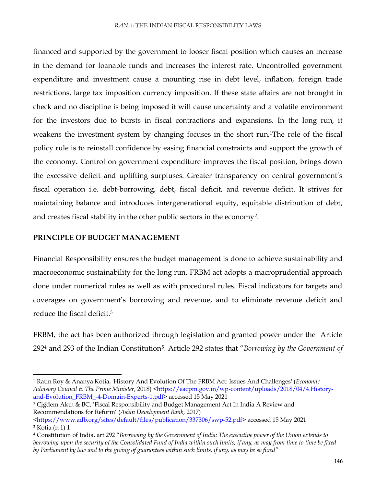financed and supported by the government to looser fiscal position which causes an increase in the demand for loanable funds and increases the interest rate. Uncontrolled government expenditure and investment cause a mounting rise in debt level, inflation, foreign trade restrictions, large tax imposition currency imposition. If these state affairs are not brought in check and no discipline is being imposed it will cause uncertainty and a volatile environment for the investors due to bursts in fiscal contractions and expansions. In the long run, it weakens the investment system by changing focuses in the short run.1The role of the fiscal policy rule is to reinstall confidence by easing financial constraints and support the growth of the economy. Control on government expenditure improves the fiscal position, brings down the excessive deficit and uplifting surpluses. Greater transparency on central government's fiscal operation i.e. debt-borrowing, debt, fiscal deficit, and revenue deficit. It strives for maintaining balance and introduces intergenerational equity, equitable distribution of debt, and creates fiscal stability in the other public sectors in the economy<sup>2</sup> .

#### **PRINCIPLE OF BUDGET MANAGEMENT**

 $\overline{\phantom{a}}$ 

Financial Responsibility ensures the budget management is done to achieve sustainability and macroeconomic sustainability for the long run. FRBM act adopts a macroprudential approach done under numerical rules as well as with procedural rules. Fiscal indicators for targets and coverages on government's borrowing and revenue, and to eliminate revenue deficit and reduce the fiscal deficit.<sup>3</sup>

FRBM, the act has been authorized through legislation and granted power under the Article 292<sup>4</sup> and 293 of the Indian Constitution<sup>5</sup> . Article 292 states that "*Borrowing by the Government of* 

<sup>1</sup> Ratin Roy & Ananya Kotia, 'History And Evolution Of The FRBM Act: Issues And Challenges' (*Economic*  Advisory Council to The Prime Minister, 2018) [<https://eacpm.gov.in/wp-content/uploads/2018/04/4.History](https://eacpm.gov.in/wp-content/uploads/2018/04/4.History-and-Evolution_FRBM_-4-Domain-Experts-1.pdf)[and-Evolution\\_FRBM\\_-4-Domain-Experts-1.pdf>](https://eacpm.gov.in/wp-content/uploads/2018/04/4.History-and-Evolution_FRBM_-4-Domain-Experts-1.pdf) accessed 15 May 2021

<sup>&</sup>lt;sup>2</sup> Cig`dem Akın & BC, 'Fiscal Responsibility and Budget Management Act In India A Review and Recommendations for Reform' (*Asian Development Bank*, 2017)

[<sup>&</sup>lt;https://www.adb.org/sites/default/files/publication/337306/swp-52.pdf>](https://www.adb.org/sites/default/files/publication/337306/swp-52.pdf) accessed 15 May 2021 <sup>3</sup> Kotia (n 1) 1

<sup>4</sup> Constitution of India, art 292 "*Borrowing by the Government of India: The executive power of the Union extends to borrowing upon the security of the Consolidated Fund of India within such limits, if any, as may from time to time be fixed by Parliament by law and to the giving of guarantees within such limits, if any, as may be so fixed*"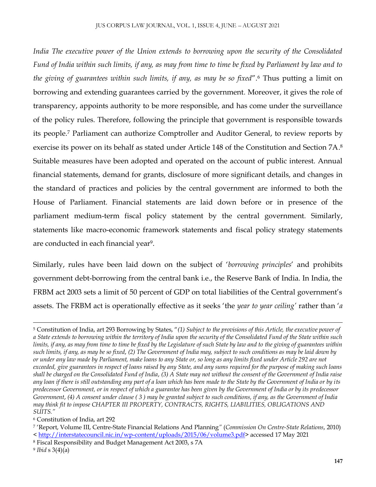*India The executive power of the Union extends to borrowing upon the security of the Consolidated Fund of India within such limits, if any, as may from time to time be fixed by Parliament by law and to the giving of guarantees within such limits, if any, as may be so fixed*".<sup>6</sup> Thus putting a limit on borrowing and extending guarantees carried by the government*.* Moreover, it gives the role of transparency, appoints authority to be more responsible, and has come under the surveillance of the policy rules. Therefore, following the principle that government is responsible towards its people.<sup>7</sup> Parliament can authorize Comptroller and Auditor General, to review reports by exercise its power on its behalf as stated under Article 148 of the Constitution and Section 7A. 8 Suitable measures have been adopted and operated on the account of public interest. Annual financial statements, demand for grants, disclosure of more significant details, and changes in the standard of practices and policies by the central government are informed to both the House of Parliament. Financial statements are laid down before or in presence of the parliament medium-term fiscal policy statement by the central government. Similarly, statements like macro-economic framework statements and fiscal policy strategy statements are conducted in each financial year<sup>9</sup> .

Similarly, rules have been laid down on the subject of '*borrowing principles*' and prohibits government debt-borrowing from the central bank i.e., the Reserve Bank of India. In India, the FRBM act 2003 sets a limit of 50 percent of GDP on total liabilities of the Central government's assets. The FRBM act is operationally effective as it seeks 'the *year to year ceiling'* rather than '*a* 

 $\overline{a}$ 

<sup>5</sup> Constitution of India, art 293 Borrowing by States, "*(1) Subject to the provisions of this Article, the executive power of a State extends to borrowing within the territory of India upon the security of the Consolidated Fund of the State within such limits, if any, as may from time to time be fixed by the Legislature of such State by law and to the giving of guarantees within such limits, if any, as may be so fixed*, *(2) The Government of India may, subject to such conditions as may be laid down by or under any law made by Parliament, make loans to any State or, so long as any limits fixed under Article 292 are not exceeded, give guarantees in respect of loans raised by any State, and any sums required for the purpose of making such loans shall be charged on the Consolidated Fund of India*, *(3) A State may not without the consent of the Government of India raise any loan if there is still outstanding any part of a loan which has been made to the State by the Government of India or by its predecessor Government, or in respect of which a guarantee has been given by the Government of India or by its predecessor Government*, *(4) A consent under clause ( 3 ) may be granted subject to such conditions, if any, as the Government of India may think fit to impose CHAPTER III PROPERTY, CONTRACTS, RIGHTS, LIABILITIES, OBLIGATIONS AND SUITS."*

<sup>6</sup> Constitution of India, art 292

<sup>7</sup> 'Report, Volume III, Centre-State Financial Relations And Planning*"* (*Commission On Centre-State Relations*, 2010) < [http://interstatecouncil.nic.in/wp-content/uploads/2015/06/volume3.pdf>](http://interstatecouncil.nic.in/wp-content/uploads/2015/06/volume3.pdf) accessed 17 May 2021

<sup>8</sup> Fiscal Responsibility and Budget Management Act 2003, s 7A

<sup>9</sup> *Ibid* s 3(4)(a)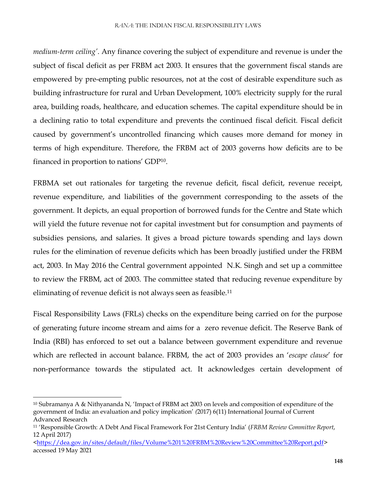*medium-term ceiling'*. Any finance covering the subject of expenditure and revenue is under the subject of fiscal deficit as per FRBM act 2003. It ensures that the government fiscal stands are empowered by pre-empting public resources, not at the cost of desirable expenditure such as building infrastructure for rural and Urban Development, 100% electricity supply for the rural area, building roads, healthcare, and education schemes. The capital expenditure should be in a declining ratio to total expenditure and prevents the continued fiscal deficit. Fiscal deficit caused by government's uncontrolled financing which causes more demand for money in terms of high expenditure. Therefore, the FRBM act of 2003 governs how deficits are to be financed in proportion to nations' GDP<sup>10</sup> .

FRBMA set out rationales for targeting the revenue deficit, fiscal deficit, revenue receipt, revenue expenditure, and liabilities of the government corresponding to the assets of the government. It depicts, an equal proportion of borrowed funds for the Centre and State which will yield the future revenue not for capital investment but for consumption and payments of subsidies pensions, and salaries. It gives a broad picture towards spending and lays down rules for the elimination of revenue deficits which has been broadly justified under the FRBM act, 2003. In May 2016 the Central government appointed N.K. Singh and set up a committee to review the FRBM, act of 2003. The committee stated that reducing revenue expenditure by eliminating of revenue deficit is not always seen as feasible.<sup>11</sup>

Fiscal Responsibility Laws (FRLs) checks on the expenditure being carried on for the purpose of generating future income stream and aims for a zero revenue deficit. The Reserve Bank of India (RBI) has enforced to set out a balance between government expenditure and revenue which are reflected in account balance. FRBM, the act of 2003 provides an '*escape clause*' for non-performance towards the stipulated act. It acknowledges certain development of

 $\overline{a}$ 

<sup>10</sup> Subramanya A & Nithyananda N, 'Impact of FRBM act 2003 on levels and composition of expenditure of the government of India: an evaluation and policy implication' *(*2017) 6(11) International Journal of Current Advanced Research

<sup>11</sup> 'Responsible Growth: A Debt And Fiscal Framework For 21st Century India' (*FRBM Review Committee Report*, 12 April 2017)

[<sup>&</sup>lt;https://dea.gov.in/sites/default/files/Volume%201%20FRBM%20Review%20Committee%20Report.pdf>](https://dea.gov.in/sites/default/files/Volume%201%20FRBM%20Review%20Committee%20Report.pdf) accessed 19 May 2021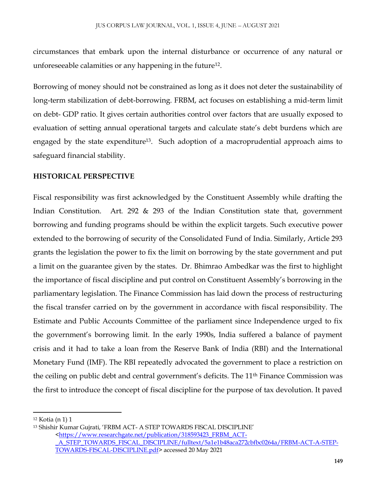circumstances that embark upon the internal disturbance or occurrence of any natural or unforeseeable calamities or any happening in the future<sup>12</sup> .

Borrowing of money should not be constrained as long as it does not deter the sustainability of long-term stabilization of debt-borrowing. FRBM, act focuses on establishing a mid-term limit on debt- GDP ratio. It gives certain authorities control over factors that are usually exposed to evaluation of setting annual operational targets and calculate state's debt burdens which are engaged by the state expenditure<sup>13</sup>. Such adoption of a macroprudential approach aims to safeguard financial stability.

## **HISTORICAL PERSPECTIVE**

Fiscal responsibility was first acknowledged by the Constituent Assembly while drafting the Indian Constitution. Art. 292 & 293 of the Indian Constitution state that, government borrowing and funding programs should be within the explicit targets. Such executive power extended to the borrowing of security of the Consolidated Fund of India. Similarly, Article 293 grants the legislation the power to fix the limit on borrowing by the state government and put a limit on the guarantee given by the states. Dr. Bhimrao Ambedkar was the first to highlight the importance of fiscal discipline and put control on Constituent Assembly's borrowing in the parliamentary legislation. The Finance Commission has laid down the process of restructuring the fiscal transfer carried on by the government in accordance with fiscal responsibility. The Estimate and Public Accounts Committee of the parliament since Independence urged to fix the government's borrowing limit. In the early 1990s, India suffered a balance of payment crisis and it had to take a loan from the Reserve Bank of India (RBI) and the International Monetary Fund (IMF). The RBI repeatedly advocated the government to place a restriction on the ceiling on public debt and central government's deficits. The 11<sup>th</sup> Finance Commission was the first to introduce the concept of fiscal discipline for the purpose of tax devolution. It paved

 $\overline{a}$ 

[<https://www.researchgate.net/publication/318593423\\_FRBM\\_ACT-](https://www.researchgate.net/publication/318593423_FRBM_ACT-_A_STEP_TOWARDS_FISCAL_DISCIPLINE/fulltext/5a1e1b48aca272cbfbc0264a/FRBM-ACT-A-STEP-TOWARDS-FISCAL-DISCIPLINE.pdf)

<sup>12</sup> Kotia (n 1) 1

<sup>13</sup> Shishir Kumar Gujrati, 'FRBM ACT- A STEP TOWARDS FISCAL DISCIPLINE'

[\\_A\\_STEP\\_TOWARDS\\_FISCAL\\_DISCIPLINE/fulltext/5a1e1b48aca272cbfbc0264a/FRBM-ACT-A-STEP-](https://www.researchgate.net/publication/318593423_FRBM_ACT-_A_STEP_TOWARDS_FISCAL_DISCIPLINE/fulltext/5a1e1b48aca272cbfbc0264a/FRBM-ACT-A-STEP-TOWARDS-FISCAL-DISCIPLINE.pdf)[TOWARDS-FISCAL-DISCIPLINE.pdf](https://www.researchgate.net/publication/318593423_FRBM_ACT-_A_STEP_TOWARDS_FISCAL_DISCIPLINE/fulltext/5a1e1b48aca272cbfbc0264a/FRBM-ACT-A-STEP-TOWARDS-FISCAL-DISCIPLINE.pdf)*>* accessed 20 May 2021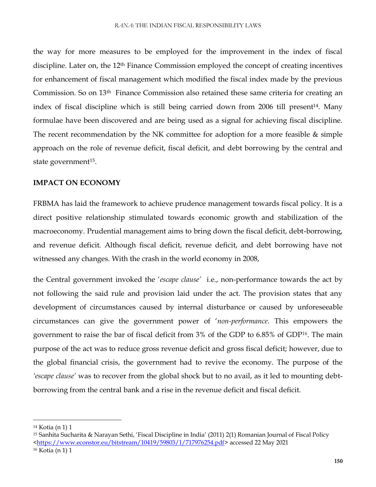the way for more measures to be employed for the improvement in the index of fiscal discipline. Later on, the 12<sup>th</sup> Finance Commission employed the concept of creating incentives for enhancement of fiscal management which modified the fiscal index made by the previous Commission. So on 13th Finance Commission also retained these same criteria for creating an index of fiscal discipline which is still being carried down from 2006 till present<sup>14</sup>. Many formulae have been discovered and are being used as a signal for achieving fiscal discipline. The recent recommendation by the NK committee for adoption for a more feasible & simple approach on the role of revenue deficit, fiscal deficit, and debt borrowing by the central and state government<sup>15</sup>.

### **IMPACT ON ECONOMY**

FRBMA has laid the framework to achieve prudence management towards fiscal policy. It is a direct positive relationship stimulated towards economic growth and stabilization of the macroeconomy. Prudential management aims to bring down the fiscal deficit, debt-borrowing, and revenue deficit. Although fiscal deficit, revenue deficit, and debt borrowing have not witnessed any changes. With the crash in the world economy in 2008,

the Central government invoked the '*escape clause'* i.e., non-performance towards the act by not following the said rule and provision laid under the act. The provision states that any development of circumstances caused by internal disturbance or caused by unforeseeable circumstances can give the government power of '*non-performance*. This empowers the government to raise the bar of fiscal deficit from 3% of the GDP to 6.85% of GDP*<sup>16</sup>*. The main purpose of the act was to reduce gross revenue deficit and gross fiscal deficit; however, due to the global financial crisis, the government had to revive the economy. The purpose of the *'escape clause'* was to recover from the global shock but to no avail, as it led to mounting debtborrowing from the central bank and a rise in the revenue deficit and fiscal deficit.

 $\overline{\phantom{a}}$ <sup>14</sup> Kotia (n 1) 1

<sup>15</sup> Sanhita Sucharita & Narayan Sethi, 'Fiscal Discipline in India' (2011) 2(1) Romanian Journal of Fiscal Policy [<https://www.econstor.eu/bitstream/10419/59803/1/717976254.pdf>](https://www.econstor.eu/bitstream/10419/59803/1/717976254.pdf) accessed 22 May 2021

<sup>16</sup> Kotia (n 1) 1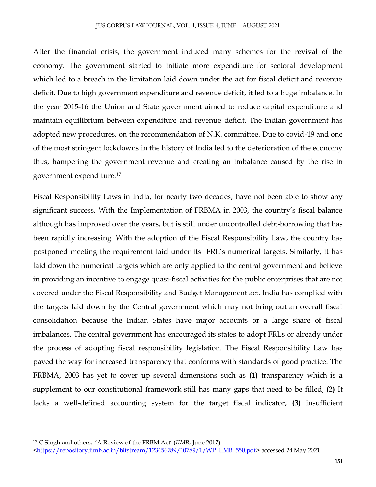#### JUS CORPUS LAW JOURNAL, VOL. 1, ISSUE 4, JUNE – AUGUST 2021

After the financial crisis, the government induced many schemes for the revival of the economy. The government started to initiate more expenditure for sectoral development which led to a breach in the limitation laid down under the act for fiscal deficit and revenue deficit. Due to high government expenditure and revenue deficit, it led to a huge imbalance. In the year 2015-16 the Union and State government aimed to reduce capital expenditure and maintain equilibrium between expenditure and revenue deficit. The Indian government has adopted new procedures, on the recommendation of N.K. committee. Due to covid-19 and one of the most stringent lockdowns in the history of India led to the deterioration of the economy thus, hampering the government revenue and creating an imbalance caused by the rise in government expenditure.<sup>17</sup>

Fiscal Responsibility Laws in India, for nearly two decades, have not been able to show any significant success. With the Implementation of FRBMA in 2003, the country's fiscal balance although has improved over the years, but is still under uncontrolled debt-borrowing that has been rapidly increasing. With the adoption of the Fiscal Responsibility Law, the country has postponed meeting the requirement laid under its FRL's numerical targets. Similarly, it has laid down the numerical targets which are only applied to the central government and believe in providing an incentive to engage quasi-fiscal activities for the public enterprises that are not covered under the Fiscal Responsibility and Budget Management act. India has complied with the targets laid down by the Central government which may not bring out an overall fiscal consolidation because the Indian States have major accounts or a large share of fiscal imbalances. The central government has encouraged its states to adopt FRLs or already under the process of adopting fiscal responsibility legislation. The Fiscal Responsibility Law has paved the way for increased transparency that conforms with standards of good practice. The FRBMA, 2003 has yet to cover up several dimensions such as **(1)** transparency which is a supplement to our constitutional framework still has many gaps that need to be filled, **(2)** It lacks a well-defined accounting system for the target fiscal indicator, **(3)** insufficient

 $\overline{\phantom{a}}$ 

<sup>17</sup> C Singh and others, 'A Review of the FRBM Act' (*IIMB*, June 2017)

[<sup>&</sup>lt;https://repository.iimb.ac.in/bitstream/123456789/10789/1/WP\\_IIMB\\_550.pdf>](https://repository.iimb.ac.in/bitstream/123456789/10789/1/WP_IIMB_550.pdf) accessed 24 May 2021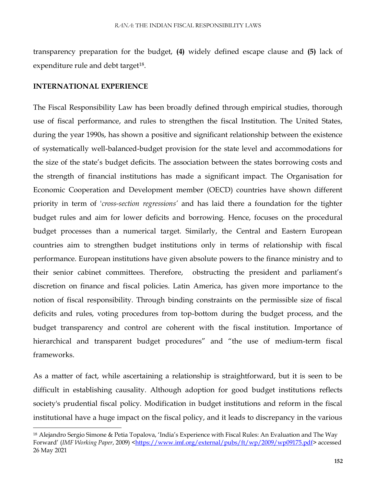transparency preparation for the budget, **(4)** widely defined escape clause and **(5)** lack of expenditure rule and debt target<sup>18</sup>.

#### **INTERNATIONAL EXPERIENCE**

 $\overline{\phantom{a}}$ 

The Fiscal Responsibility Law has been broadly defined through empirical studies, thorough use of fiscal performance, and rules to strengthen the fiscal Institution. The United States, during the year 1990s, has shown a positive and significant relationship between the existence of systematically well-balanced-budget provision for the state level and accommodations for the size of the state's budget deficits. The association between the states borrowing costs and the strength of financial institutions has made a significant impact. The Organisation for Economic Cooperation and Development member (OECD) countries have shown different priority in term of '*cross-section regressions'* and has laid there a foundation for the tighter budget rules and aim for lower deficits and borrowing. Hence, focuses on the procedural budget processes than a numerical target. Similarly, the Central and Eastern European countries aim to strengthen budget institutions only in terms of relationship with fiscal performance. European institutions have given absolute powers to the finance ministry and to their senior cabinet committees. Therefore, obstructing the president and parliament's discretion on finance and fiscal policies. Latin America, has given more importance to the notion of fiscal responsibility. Through binding constraints on the permissible size of fiscal deficits and rules, voting procedures from top-bottom during the budget process, and the budget transparency and control are coherent with the fiscal institution. Importance of hierarchical and transparent budget procedures" and "the use of medium-term fiscal frameworks.

As a matter of fact, while ascertaining a relationship is straightforward, but it is seen to be difficult in establishing causality. Although adoption for good budget institutions reflects society's prudential fiscal policy. Modification in budget institutions and reform in the fiscal institutional have a huge impact on the fiscal policy, and it leads to discrepancy in the various

<sup>18</sup> Alejandro Sergio Simone & Petia Topalova, 'India's Experience with Fiscal Rules: An Evaluation and The Way Forward' (*IMF Working Paper*, 2009) [<https://www.imf.org/external/pubs/ft/wp/2009/wp09175.pdf>](https://www.imf.org/external/pubs/ft/wp/2009/wp09175.pdf) accessed 26 May 2021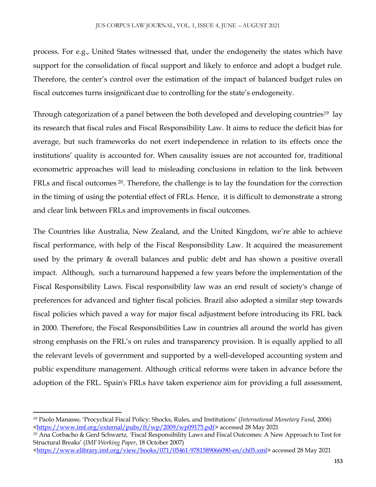process. For e.g., United States witnessed that, under the endogeneity the states which have support for the consolidation of fiscal support and likely to enforce and adopt a budget rule. Therefore, the center's control over the estimation of the impact of balanced budget rules on fiscal outcomes turns insignificant due to controlling for the state's endogeneity.

Through categorization of a panel between the both developed and developing countries<sup>19</sup> lay its research that fiscal rules and Fiscal Responsibility Law. It aims to reduce the deficit bias for average, but such frameworks do not exert independence in relation to its effects once the institutions' quality is accounted for. When causality issues are not accounted for, traditional econometric approaches will lead to misleading conclusions in relation to the link between FRLs and fiscal outcomes <sup>20</sup>. Therefore, the challenge is to lay the foundation for the correction in the timing of using the potential effect of FRLs. Hence, it is difficult to demonstrate a strong and clear link between FRLs and improvements in fiscal outcomes.

The Countries like Australia, New Zealand, and the United Kingdom, we're able to achieve fiscal performance, with help of the Fiscal Responsibility Law. It acquired the measurement used by the primary & overall balances and public debt and has shown a positive overall impact. Although, such a turnaround happened a few years before the implementation of the Fiscal Responsibility Laws. Fiscal responsibility law was an end result of society's change of preferences for advanced and tighter fiscal policies. Brazil also adopted a similar step towards fiscal policies which paved a way for major fiscal adjustment before introducing its FRL back in 2000. Therefore, the Fiscal Responsibilities Law in countries all around the world has given strong emphasis on the FRL's on rules and transparency provision. It is equally applied to all the relevant levels of government and supported by a well-developed accounting system and public expenditure management. Although critical reforms were taken in advance before the adoption of the FRL. Spain's FRLs have taken experience aim for providing a full assessment,

 $\overline{a}$ 

<sup>19</sup> Paolo Manasse, 'Procyclical Fiscal Policy: Shocks, Rules, and Institutions' (*International Monetary Fund*, 2006) [<https://www.imf.org/external/pubs/ft/wp/2009/wp09175.pdf](https://www.imf.org/external/pubs/ft/wp/2009/wp09175.pdf)*>* accessed 28 May 2021

*<sup>20</sup>* Ana Corbacho & Gerd Schwartz*, '*Fiscal Responsibility Laws and Fiscal Outcomes: A New Approach to Test for Structural Breaks' (*IMF Working Paper*, 18 October 2007)

[<sup>&</sup>lt;https://www.elibrary.imf.org/view/books/071/05461-9781589066090-en/ch05.xml>](https://www.elibrary.imf.org/view/books/071/05461-9781589066090-en/ch05.xml)accessed 28 May 2021